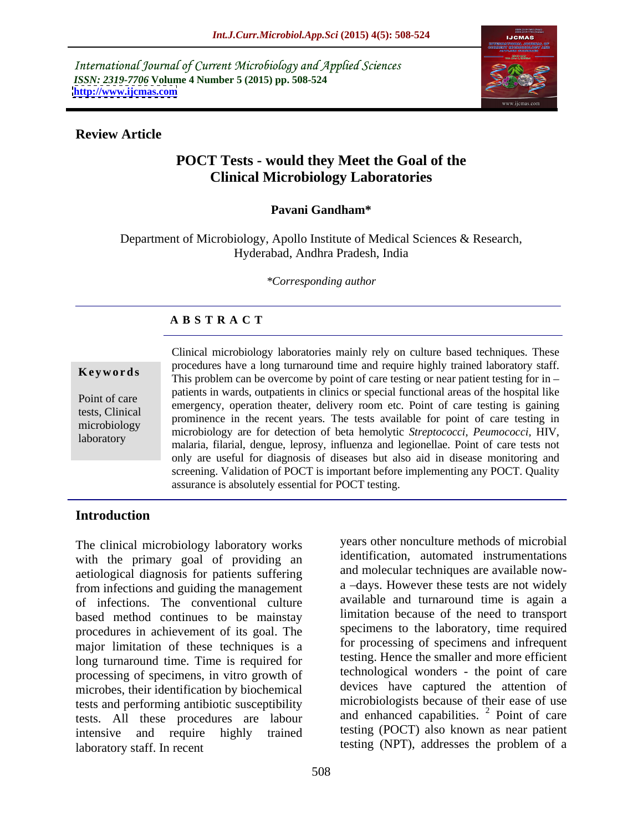International Journal of Current Microbiology and Applied Sciences *ISSN: 2319-7706* **Volume 4 Number 5 (2015) pp. 508-524 <http://www.ijcmas.com>**



### **Review Article**

# **POCT Tests - would they Meet the Goal of the Clinical Microbiology Laboratories**

### **Pavani Gandham\***

Department of Microbiology, Apollo Institute of Medical Sciences & Research, Hyderabad, Andhra Pradesh, India

*\*Corresponding author*

## **A B S T R A C T**

laboratory

Clinical microbiology laboratories mainly rely on culture based techniques. These procedures have a long turnaround time and require highly trained laboratory staff. **Keywords** This problem can be overcome by point of care testing or near patient testing for in – patients in wards, outpatients in clinics or special functional areas of the hospital like Point of care<br>
emergency, operation theater, delivery room etc. Point of care testing is gaining prominence in the recent years. The tests available for point of care testing in gaining<br>tests, Clinical prominence in the recent years. The tests available for point of care testing in microbiology are for detection of beta hemolytic *Streptococci, Peumococci*, HIV, malaria, filarial, dengue, leprosy, influenza and legionellae. Point of care tests not only are useful for diagnosis of diseases but also aid in disease monitoring and screening. Validation of POCT is important before implementing any POCT. Quality assurance is absolutely essential for POCT testing.

## **Introduction**

The clinical microbiology laboratory works with the primary goal of providing an aetiological diagnosis for patients suffering from infections and guiding the management of infections. The conventional culture based method continues to be mainstay procedures in achievement of its goal. The major limitation of these techniques is a long turnaround time. Time is required for processing of specimens, in vitro growth of microbes, their identification by biochemical tests and performing antibiotic susceptibility tests. All these procedures are labour intensive and require highly trained testing (POCT) also known as near patient laboratory staff. In recent testing (NPT), addresses the problem of a

years other nonculture methods of microbial identification, automated instrumentations and molecular techniques are available now a -days. However these tests are not widely available and turnaround time is again a limitation because of the need to transport specimens to the laboratory, time required for processing of specimens and infrequent testing. Hence the smaller and more efficient technological wonders - the point of care devices have captured the attention of microbiologists because of their ease of use and enhanced capabilities. <sup>2</sup> Point of care testing (POCT) also known as near patient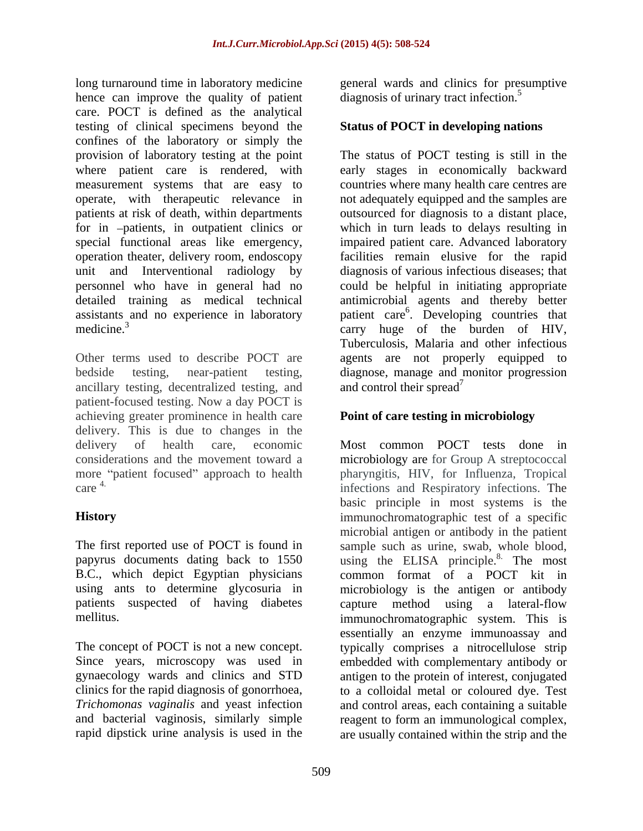long turnaround time in laboratory medicine general wards and clinics for presumptive hence can improve the quality of patient care. POCT is defined as the analytical testing of clinical specimens beyond the confines of the laboratory or simply the provision of laboratory testing at the point operate, with therapeutic relevance in

ancillary testing, decentralized testing, and and control their spread<sup>7</sup> patient-focused testing. Now a day POCT is achieving greater prominence in health care delivery. This is due to changes in the more "patient focused" approach to health care 4.

using ants to determine glycosuria in

*Trichomonas vaginalis* and yeast infection

diagnosis of urinary tract infection.<sup>5</sup>

## **Status of POCT in developing nations**

where patient care is rendered, with early stages in economically backward measurement systems that are easy to countries where many health care centres are patients at risk of death, within departments outsourced for diagnosis to a distant place, for in patients, in outpatient clinics or which in turn leads to delays resulting in special functional areas like emergency, impaired patient care. Advanced laboratory operation theater, delivery room, endoscopy facilities remain elusive for the rapid unit and Interventional radiology by diagnosis of various infectious diseases; that personnel who have in general had no could be helpful in initiating appropriate detailed training as medical technical antimicrobial agents and thereby better assistants and no experience in laboratory patient care<sup>6</sup>. Developing countries that medicine.<sup>3</sup> carry huge of the burden of HIV, Other terms used to describe POCT are agents are not properly equipped to bedside testing, near-patient testing, diagnose, manage and monitor progression The status of POCT testing is still in the not adequately equipped and the samples are Tuberculosis, Malaria and other infectious and control their spread<sup>7</sup>  $\qquad \qquad$   $\qquad 7$ 

## **Point of care testing in microbiology**

delivery of health care, economic Most common POCT tests done in considerations and the movement toward a microbiology are for Group A streptococcal care 4. infections and Respiratory infections. The **History** immunochromatographic test of a specific The first reported use of POCT is found in sample such as urine, swab, whole blood, papyrus documents dating back to 1550 using the ELISA principle.<sup>8</sup> The most B.C., which depict Egyptian physicians common format of a POCT kit in patients suspected of having diabetes capture method using a lateral-flow mellitus. immunochromatographic system. This is The concept of POCT is not a new concept. typically comprises a nitrocellulose strip Since years, microscopy was used in embedded with complementary antibody or gynaecology wards and clinics and STD antigen to the protein of interest, conjugated clinics for the rapid diagnosis of gonorrhoea, to a colloidal metal or coloured dye. Test and bacterial vaginosis, similarly simple reagent to form an immunological complex, rapid dipstick urine analysis is used in the are usually contained within the strip and the pharyngitis, HIV, for Influenza, Tropical basic principle in most systems is the microbial antigen or antibody in the patient microbiology is the antigen or antibody essentially an enzyme immunoassay and and control areas, each containing a suitable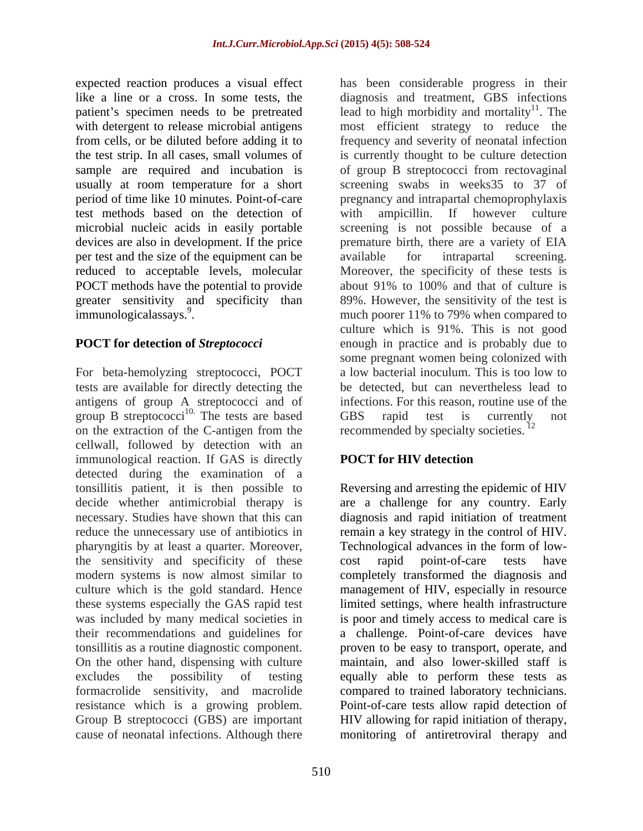test methods based on the detection of per test and the size of the equipment can be available for intrapartal screening. POCT methods have the potential to provide about 91% to 100% and that of culture is

For beta-hemolyzing streptococci, POCT tests are available for directly detecting the antigens of group A streptococci and of group B streptococci<sup>10.</sup> The tests are based GBS rapid test is currently not on the extraction of the C-antigen from the recommended by specialty societies.  $^{12}$ cellwall, followed by detection with an immunological reaction. If GAS is directly **POCT for HIV detection** detected during the examination of a tonsillitis patient, it is then possible to Reversing and arresting the epidemic of HIV decide whether antimicrobial therapy is are a challenge for any country. Early necessary. Studies have shown that this can reduce the unnecessary use of antibiotics in remain a key strategy in the control of HIV. pharyngitis by at least a quarter. Moreover, the sensitivity and specificity of these cost rapid point-of-care tests have modern systems is now almost similar to completely transformed the diagnosis and culture which is the gold standard. Hence management of HIV, especially in resource these systems especially the GAS rapid test limited settings, where health infrastructure was included by many medical societies in is poor and timely access to medical care is their recommendations and guidelines for a challenge. Point-of-care devices have tonsillitis as a routine diagnostic component. On the other hand, dispensing with culture excludes the possibility of testing equally able to perform these tests as formacrolide sensitivity, and macrolide compared to trained laboratory technicians. resistance which is a growing problem. Point-of-care tests allow rapid detection of Group B streptococci (GBS) are important HIV allowing for rapid initiation of therapy, cause of neonatal infections. Although there monitoring of antiretroviral therapy and

expected reaction produces a visual effect has been considerable progress in their like a line or a cross. In some tests, the diagnosis and treatment, GBS infections patient's specimen needs to be pretreated lead to high morbidity and mortality<sup>11</sup>. The with detergent to release microbial antigens most efficient strategy to reduce the from cells, or be diluted before adding it to frequency and severity of neonatal infection the test strip. In all cases, small volumes of is currently thought to be culture detection sample are required and incubation is of group B streptococci from rectovaginal usually at room temperature for a short screening swabs in weeks35 to 37 of period of time like 10 minutes. Point-of-care pregnancy and intrapartal chemoprophylaxis microbial nucleic acids in easily portable screening is not possible because of a devices are also in development. If the price premature birth, there are a variety of EIA reduced to acceptable levels, molecular Moreover, the specificity of these tests is greater sensitivity and specificity than 89%. However, the sensitivity of the test is immunologicalassays.<sup>9</sup>. The same much poorer 11% to 79% when compared to **POCT for detection of** *Streptococci* enough in practice and is probably due to  $^{11}$  The . The ampicillin. If however culture available for intrapartal screening. about 91% to 100% and that of culture is culture which is 91%. This is not good some pregnant women being colonized with a low bacterial inoculum. This is too low to be detected, but can nevertheless lead to infections. For this reason, routine use of the GBS rapid test is currently not

## **POCT for HIV detection**

diagnosis and rapid initiation of treatment Technological advances in the form of low cost rapid point-of-care tests have proven to be easy to transport, operate, and maintain, and also lower-skilled staff is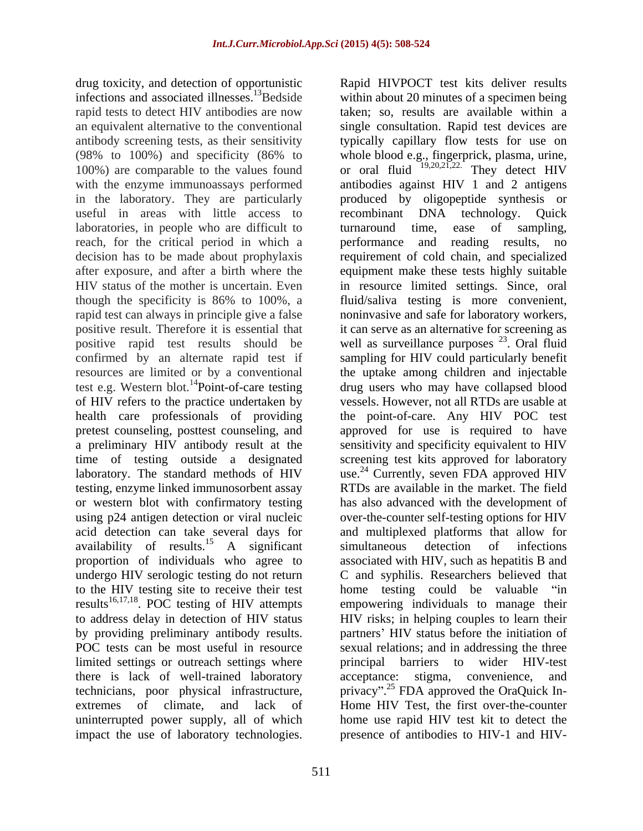drug toxicity, and detection of opportunistic Rapid HIVPOCT test kits deliver results infections and associated illnesses.<sup>13</sup>Bedside rapid tests to detect HIV antibodies are now taken; so, results are available within a an equivalent alternative to the conventional single consultation. Rapid test devices are antibody screening tests, as their sensitivity typically capillary flow tests for use on (98% to 100%) and specificity (86% to whole blood e.g., fingerprick, plasma, urine, 100%) are comparable to the values found or oral fluid  $19,20,21,22$ . They detect HIV with the enzyme immunoassays performed antibodies against HIV 1 and 2 antigens in the laboratory. They are particularly produced by oligopeptide synthesis or useful in areas with little access to recombinant DNA technology. Ouick laboratories, in people who are difficult to turnaround time, ease of sampling, reach, for the critical period in which a performance and reading results, no decision has to be made about prophylaxis requirement of cold chain, and specialized after exposure, and after a birth where the equipment make these tests highly suitable HIV status of the mother is uncertain. Even in resource limited settings. Since, oral though the specificity is 86% to 100%, a fluid/saliva testing is more convenient, rapid test can always in principle give a false noninvasive and safe for laboratory workers, positive result. Therefore it is essential that it can serve as an alternative for screening as positive rapid test results should be well as surveillance purposes  $^{23}$ . Oral fluid confirmed by an alternate rapid test if sampling for HIV could particularly benefit resources are limited or by a conventional the uptake among children and injectable test e.g. Western blot.<sup>14</sup>Point-of-care testing of HIV refers to the practice undertaken by health care professionals of providing the point-of-care. Any HIV POC test pretest counseling, posttest counseling, and approved for use is required to have a preliminary HIV antibody result at the sensitivity and specificity equivalent to HIV time of testing outside a designated screening test kits approved for laboratory laboratory. The standard methods of HIV use.<sup>24</sup> Currently, seven FDA approved HIV testing, enzyme linked immunosorbent assay or western blot with confirmatory testing has also advanced with the development of using p24 antigen detection or viral nucleic over-the-counter self-testing options for HIV acid detection can take several days for availability of results.<sup>15</sup> A significant simultaneous detection of infections proportion of individuals who agree to associated with HIV, such as hepatitis B and undergo HIV serologic testing do not return to the HIV testing site to receive their test home testing could be valuable "in results<sup>16,17,18</sup>. POC testing of HIV attempts to address delay in detection of HIV status HIV risks; in helping couples to learn their by providing preliminary antibody results. partners' HIV status before the initiation of POC tests can be most useful in resource sexual relations; and in addressing the three limited settings or outreach settings where principal barriers to wider HIV-test there is lack of well-trained laboratory acceptance: stigma, convenience, and technicians, poor physical infrastructure, privacy".<sup>25</sup> FDA approved the OraQuick Inextremes of climate, and lack of Home HIV Test, the first over-the-counter uninterrupted power supply, all of which home use rapid HIV test kit to detect the

. POC testing of HIV attempts empowering individuals to manage their impact the use of laboratory technologies. presence of antibodies to HIV-1 and HIVwithin about 20 minutes of a specimen being  $19,20,21,22$ . They detect HIV recombinant DNA technology. Quick turnaround time, ease of sampling, performance and reading results, no . Oral fluid drug users who may have collapsed blood vessels. However, not all RTDs are usable at  $24$  Currently, seven FDA approved HIV RTDs are available in the market. The field and multiplexed platforms that allow for simultaneous detection of infections C and syphilis. Researchers believed that principal barriers to wider HIV-test acceptance: stigma, convenience, and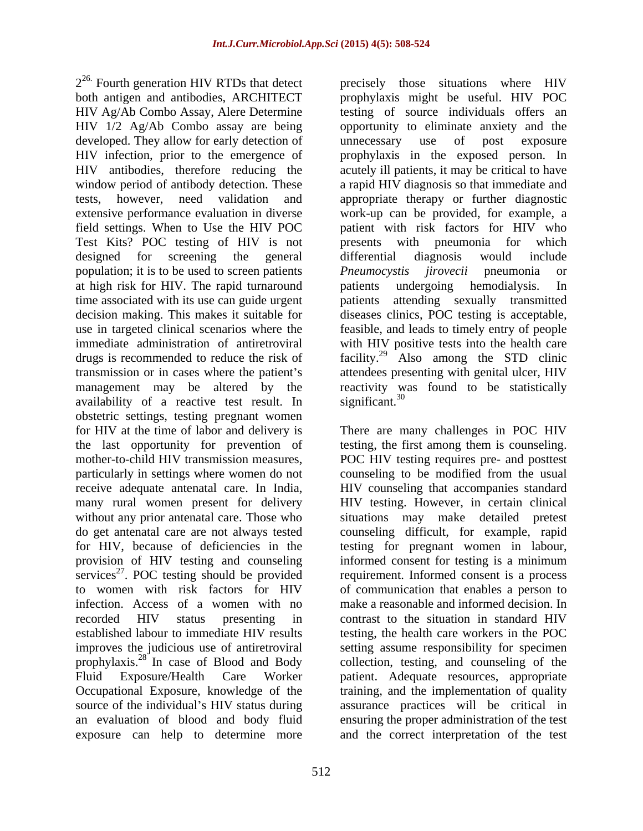both antigen and antibodies, ARCHITECT prophylaxis might be useful. HIV POC HIV Ag/Ab Combo Assay, Alere Determine testing of source individuals offers an HIV 1/2 Ag/Ab Combo assay are being opportunity to eliminate anxiety and the developed. They allow for early detection of unnecessary use of post exposure HIV infection, prior to the emergence of prophylaxis in the exposed person. In HIV antibodies, therefore reducing the acutely ill patients, it may be critical to have window period of antibody detection. These a rapid HIV diagnosis so that immediate and tests, however, need validation and appropriate therapy or further diagnostic extensive performance evaluation in diverse work-up can be provided, for example, a field settings. When to Use the HIV POC patient with risk factors for HIV who Test Kits? POC testing of HIV is not designed for screening the general differential diagnosis would include population; it is to be used to screen patients *Pneumocystis jirovecii* pneumonia or at high risk for HIV. The rapid turnaround time associated with its use can guide urgent decision making. This makes it suitable for diseases clinics, POC testing is acceptable, use in targeted clinical scenarios where the feasible, and leads to timely entry of people immediate administration of antiretroviral with HIV positive tests into the health care drugs is recommended to reduce the risk of  $\frac{129}{2}$  Also among the STD clinic transmission or in cases where the patient's attendees presenting with genital ulcer, HIV management may be altered by the reactivity was found to be statistically availability of a reactive test result. In significant.<sup>30</sup> obstetric settings, testing pregnant women for HIV at the time of labor and delivery is There are many challenges in POC HIV the last opportunity for prevention of testing, the first among them is counseling. mother-to-child HIV transmission measures, POC HIV testing requires pre- and posttest particularly in settings where women do not counseling to be modified from the usual receive adequate antenatal care. In India, HIV counseling that accompanies standard many rural women present for delivery HIV testing. However, in certain clinical without any prior antenatal care. Those who do get antenatal care are not always tested counseling difficult, for example, rapid for HIV, because of deficiencies in the testing for pregnant women in labour, provision of HIV testing and counseling informed consent for testing is a minimum services<sup>27</sup>. POC testing should be provided to women with risk factors for HIV of communication that enables a person to infection. Access of a women with no make a reasonable and informed decision. In recorded HIV status presenting in contrast to the situation in standard HIV established labour to immediate HIV results improves the judicious use of antiretroviral setting assume responsibility for specimen prophylaxis.<sup>28</sup> In case of Blood and Body collection, testing, and counseling of the Fluid Exposure/Health Care Worker patient. Adequate resources, appropriate Occupational Exposure, knowledge of the training, and the implementation of quality source of the individual's HIV status during assurance practices will be critical in an evaluation of blood and body fluid ensuring the proper administration of the test

 $2^{26}$  Fourth generation HIV RTDs that detect precisely those situations where HIV precisely those situations where HIV unnecessary use of post exposure presents with pneumonia for which differential diagnosis would include *Pneumocystis jirovecii* pneumonia or undergoing hemodialysis. attending sexually transmitted  ${\rm significant.}^{30}$ 

. POC testing should be provided requirement. Informed consent is a process exposure can help to determine more and the correct interpretation of the testsituations may make detailed pretest contrast to the situation in standard HIV testing, the health care workers in the POC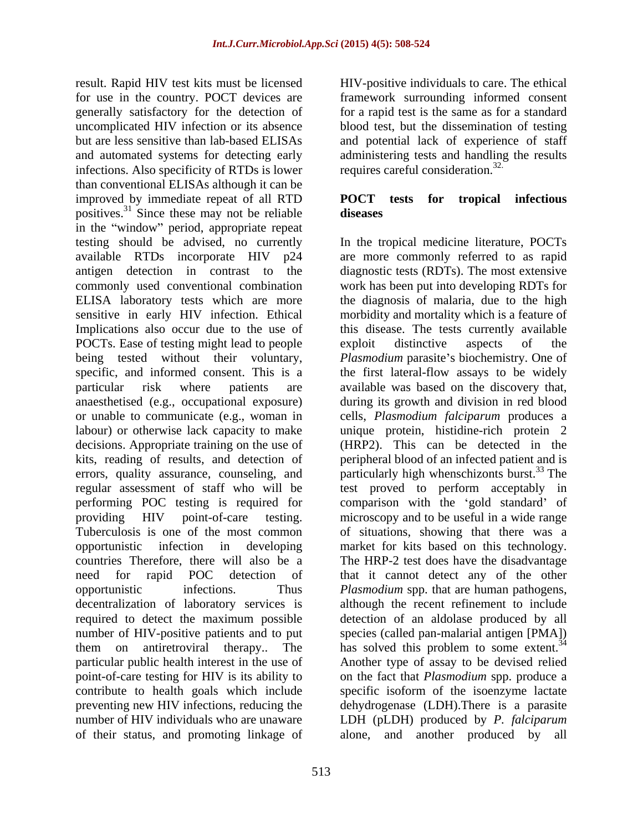result. Rapid HIV test kits must be licensed HIV-positive individuals to care. The ethical for use in the country. POCT devices are framework surrounding informed consent generally satisfactory for the detection of for a rapid test is the same as for a standard uncomplicated HIV infection or its absence blood test, but the dissemination of testing but are less sensitive than lab-based ELISAs and potential lack of experience of staff and automated systems for detecting early administering tests and handling the results infections. Also specificity of RTDs is lower than conventional ELISAs although it can be improved by immediate repeat of all RTD POCT tests for tropical infectious positives.<sup>31</sup> Since these may not be reliable **diseases** in the "window" period, appropriate repeat testing should be advised, no currently In the tropical medicine literature, POCTs available RTDs incorporate HIV p24 are more commonly referred to as rapid antigen detection in contrast to the diagnostic tests (RDTs). The most extensive commonly used conventional combination ELISA laboratory tests which are more the diagnosisof malaria, due to the high sensitive in early HIV infection. Ethical morbidity and mortality which is a feature of Implications also occur due to the use of POCTs. Ease of testing might lead to people exploit distinctive aspects of the being tested without their voluntary, *Plasmodium* parasite's biochemistry. One of specific, and informed consent. This is a the first lateral-flow assays to be widely particular risk where patients are available was based on the discovery that, anaesthetised (e.g., occupational exposure) or unable to communicate (e.g., woman in cells, *Plasmodium falciparum* produces a labour) or otherwise lack capacity to make decisions. Appropriate training on the use of (HRP2). This can be detected in the kits, reading of results, and detection of peripheral blood of an infected patient and is errors, quality assurance, counseling, and particularly high whenschizonts burst.<sup>33</sup> The regular assessment of staff who will be test proved to perform acceptably in performing POC testing is required for comparison with the 'gold standard' of providing HIV point-of-care testing. microscopy and to be useful in a wide range Tuberculosis is one of the most common of situations, showing that there was a opportunistic infection in developing market for kits based on this technology. countries Therefore, there will also be a The HRP-2 test does have the disadvantage need for rapid POC detection of that it cannot detect any of the other opportunistic infections. Thus *Plasmodium* spp. that are human pathogens, decentralization of laboratory services is required to detect the maximum possible detection of an aldolase produced by all number of HIV-positive patients and to put species (called pan-malarial antigen [PMA]) them on antiretroviral therapy.. The has solved this problem to some extent.<sup>34</sup> particular public health interest in the use of Another type of assay to be devised relied point-of-care testing for HIV is its ability to on the fact that *Plasmodium* spp. produce a contribute to health goals which include specific isoform of the isoenzyme lactate preventing new HIV infections, reducing the dehydrogenase (LDH).There is a parasite number of HIV individuals who are unaware LDH (pLDH) produced by *P. falciparum*

requires careful consideration.<sup>32.</sup>

### **POCT tests for tropical infectious diseases**

of their status, and promoting linkage of work has been put into developing RDTs for this disease. The tests currently available exploit distinctive aspects of the during its growth and division in red blood unique protein, histidine-rich protein  $2$ although the recent refinement to include alone, and another produced by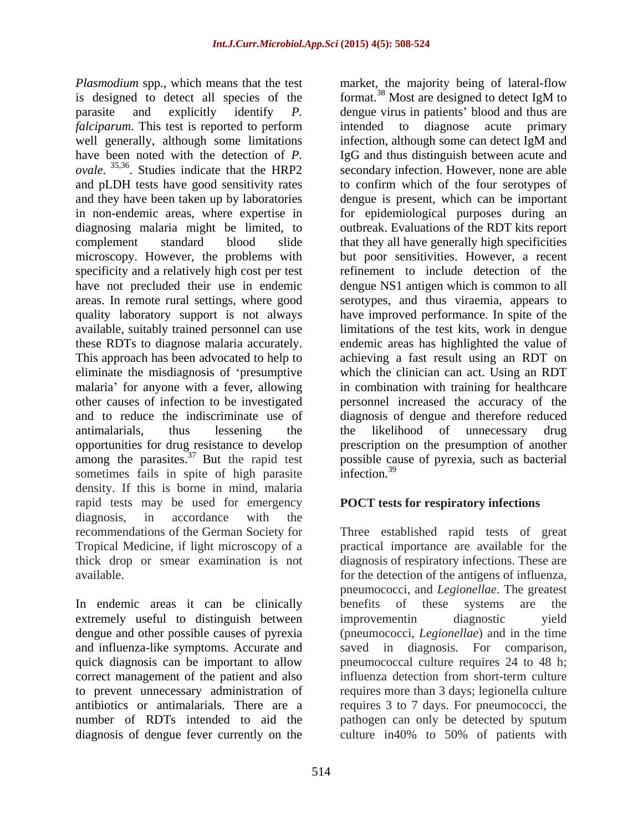*Plasmodium* spp., which means that the test market, the majority being of lateral-flow is designed to detect all species of the format.<sup>38</sup> Most are designed to detect IgM to *falciparum*. This test is reported to perform intended to diagnose acute primary well generally, although some limitations infection, although some can detect IgM and *ovale.* <sup>35,36</sup>. Studies indicate that the HRP2 in non-endemic areas, where expertise in specificity and a relatively high cost per test among the parasites.<sup>37</sup> But the rapid test sometimes fails in spite of high parasite infection.<sup>39</sup> density. If this is borne in mind, malaria rapid tests may be used for emergency diagnosis, in accordance with the recommendations of the German Society for Three established rapid tests of great Tropical Medicine, if light microscopy of a practical importance are available for the thick drop or smear examination is not diagnosis of respiratory infections. These are

In endemic areas it can be clinically benefits of these systems are the extremely useful to distinguish between improvementin diagnostic vield and influenza-like symptoms. Accurate and diagnosis of dengue fever currently on the culture in 40% to 50% of patients with

parasite and explicitly identify *P*. dengue virus in patients' blood and thus are have been noted with the detection of *P.*  IgG and thus distinguish between acute and . Studies indicate that the HRP2 secondary infection. However, none are able and pLDH tests have good sensitivity rates to confirm which of the four serotypes of and they have been taken up by laboratories dengue is present, which can be important diagnosing malaria might be limited, to outbreak. Evaluations of the RDT kits report complement standard blood slide that they all have generally high specificities microscopy. However, the problems with but poor sensitivities. However, a recent have not precluded their use in endemic dengue NS1 antigen which is common to all areas. In remote rural settings, where good serotypes, and thus viraemia, appears to quality laboratory support is not always have improved performance. In spite of the available, suitably trained personnel can use limitations of the test kits, work in dengue these RDTs to diagnose malaria accurately. endemic areas has highlighted the value of This approach has been advocated to help to achieving a fast result using an RDT on eliminate the misdiagnosis of 'presumptive which the clinician can act. Using an RDT malaria' for anyone with a fever, allowing in combination with training for healthcare other causes of infection to be investigated personnel increased the accuracy of the and to reduce the indiscriminate use of diagnosis of dengue and therefore reduced antimalarials, thus lessening the the likelihood of unnecessary drug opportunities for drug resistance to develop prescription on the presumption of another format.<sup>38</sup> Most are designed to detect IgM to intended to diagnose acute infection, although some can detect IgM and for epidemiological purposes during an refinement to include detection of the possible cause of pyrexia, such as bacterial infection.<sup>39</sup>

## **POCT tests for respiratory infections**

available. for the detection of the antigens of influenza, dengue and other possible causes of pyrexia (pneumococci, *Legionellae*) and in the time quick diagnosis can be important to allow pneumococcal culture requires 24 to 48 h; correct management of the patient and also influenza detection from short-term culture to prevent unnecessary administration of requires more than 3 days; legionella culture antibiotics or antimalarials. There are a requires 3 to 7 days. For pneumococci, the number of RDTs intended to aid the pathogen can only be detected by sputum pneumococci, and *Legionellae*. The greatest benefits of these systems are the improvementin diagnostic yield saved in diagnosis. For comparison, culture in40% to 50% of patients with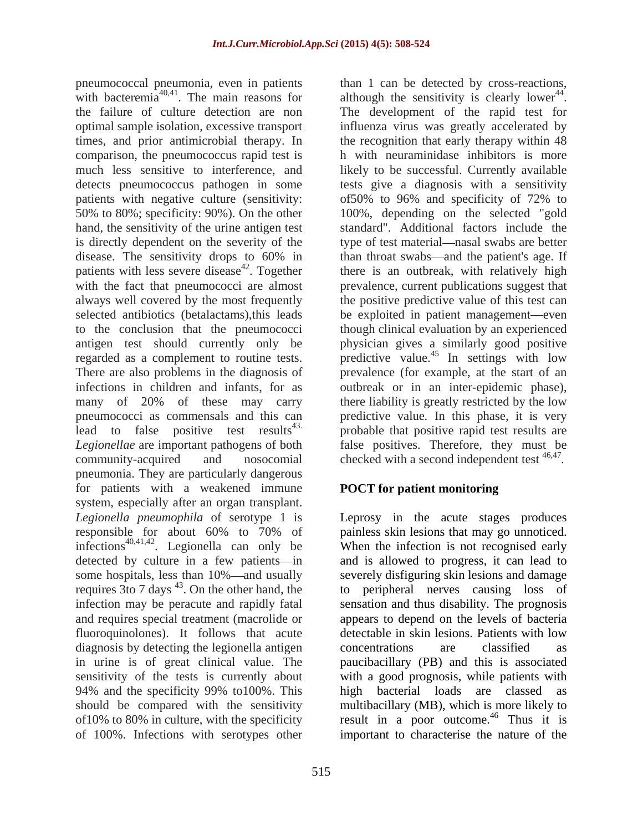pneumococcal pneumonia, even in patients with bacteremia<sup>40,41</sup>. The main reasons for the failure of culture detection are non The development of the rapid test for optimal sample isolation, excessive transport influenza virus was greatly accelerated by times, and prior antimicrobial therapy. In the recognition that early therapy within 48 comparison, the pneumococcus rapid test is much less sensitive to interference, and likely to be successful. Currently available detects pneumococcus pathogen in some tests give a diagnosis with a sensitivity patients with negative culture (sensitivity: of 50% to 96% and specificity of 72% to 50% to 80%; specificity: 90%). On the other 100%, depending on the selected "gold hand, the sensitivity of the urine antigen test standard". Additional factors include the is directly dependent on the severity of the type of test material—nasal swabs are better disease. The sensitivity drops to 60% in the throat swabs—and the patient's age. If patients with less severe disease<sup>42</sup>. Together there is an outbreak, with relatively high with the fact that pneumococci are almost prevalence, current publications suggest that always well covered by the most frequently the positive predictive value of this test can selected antibiotics (betalactams), this leads be exploited in patient management—even to the conclusion that the pneumococci though clinical evaluation by an experienced antigen test should currently only be physician gives a similarly good positive regarded as a complement to routine tests. predictive value.<sup>45</sup> In settings with low There are also problems in the diagnosis of prevalence (for example, at the start of an infections in children and infants, for as outbreak or in an inter-epidemic phase), many of 20% of these may carry there liability is greatly restricted by the low pneumococci as commensals and this can predictive value*.* In this phase, it is very lead to false positive test results<sup>43.</sup> probable that positive rapid test results are *Legionellae* are important pathogens of both false positives. Therefore, they must be community-acquired and nosocomial checked with a second independent test <sup>46,47</sup>. pneumonia. They are particularly dangerous for patients with a weakened immune system, especially after an organ transplant. *Legionella pneumophila* of serotype 1 is Leprosy in the acute stages produces responsible for about 60% to 70% of painless skin lesions that may go unnoticed. infections<sup>40,41,42</sup>. Legionella can only be detected by culture in a few patients—in and is allowed to progress, it can lead to some hospitals, less than 10%—and usually severely disfiguring skin lesions and damage requires  $3$  to 7 days  $43$ . On the other hand, the infection may be peracute and rapidly fatal sensation and thus disability. The prognosis and requires special treatment (macrolide or appears to depend on the levels of bacteria fluoroquinolones). It follows that acute diagnosis by detecting the legionella antigen concentrations are classified as in urine is of great clinical value. The paucibacillary (PB)and this is associated sensitivity of the tests is currently about with a good prognosis, while patients with 94% and the specificity 99% to100%. This should be compared with the sensitivity multibacillary (MB), which is more likely to of 10% to 80% in culture, with the specificity result in a poor outcome.<sup>46</sup> Thus it is

. The main reasons for although the sensitivity is clearly lower<sup>44</sup>. than 1 can be detected by cross-reactions, 44 . h with neuraminidase inhibitors is more of50% to 96% and specificity of 72% to than throat swabs—and the patient's age. If *.*

## **POCT for patient monitoring**

. Legionella can only be When the infection is not recognised early of 100%. Infections with serotypes other important to characterise the nature of thepainless skin lesions that may go unnoticed. to peripheral nerves causing loss of detectable in skin lesions. Patients with low concentrations are classified as high bacterial loads are classed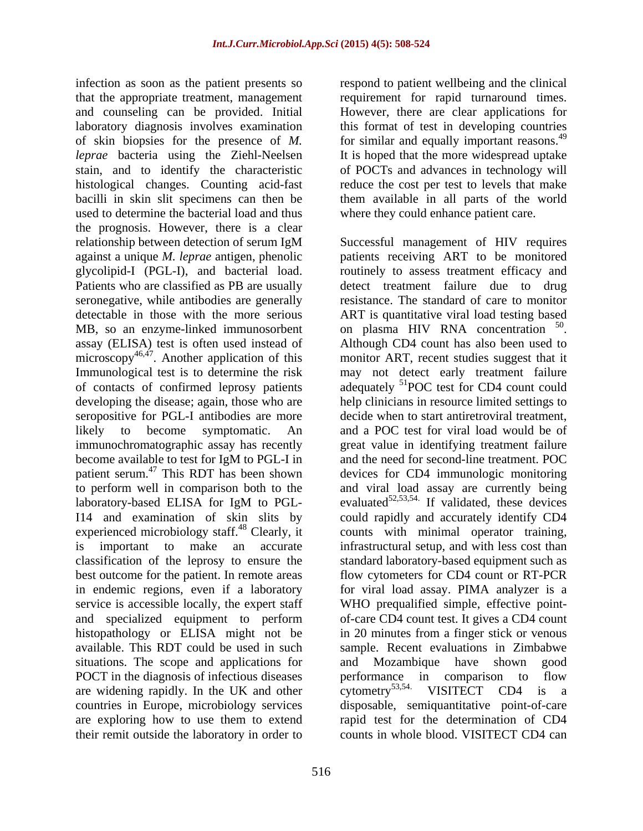infection as soon as the patient presents so that the appropriate treatment, management requirement for rapid turnaround times. and counseling can be provided. Initial laboratory diagnosis involves examination this format of test in developing countries of skin biopsies for the presence of *M*. For similar and equally important reasons.<sup>49</sup> *leprae* bacteria using the Ziehl-Neelsen stain, and to identify the characteristic histological changes. Counting acid-fast reduce the cost per test to levels that make bacilli in skin slit specimens can then be them available in all parts of the world used to determine the bacterial load and thus the prognosis. However, there is a clear Patients who are classified as PB are usually assay (ELISA) test is often used instead of Although CD4 count has also been used to microscopy<sup>46,47</sup>. Another application of this developing the disease; again, those who are seropositive for PGL-I antibodies are more become available to test for IgM to PGL-I in patient serum.<sup>47</sup> This RDT has been shown experienced microbiology staff.<sup>48</sup> Clearly, it service is accessible locally, the expert staff situations. The scope and applications for and Mozambique have shown good POCT in the diagnosis of infectious diseases performance in comparison to flow are widening rapidly. In the UK and other cytometry<sup>53,54</sup> VISITECT CD4 is a are widening rapidly. In the UK and other cytometry<sup>53,54.</sup> VISITECT CD4 is a their remit outside the laboratory in order to

respond to patient wellbeing and the clinical However, there are clear applications for It is hoped that the more widespread uptake of POCTs and advances in technology will where they could enhance patient care.

relationship between detection of serum IgM Successful management of HIV requires against a unique *M. leprae* antigen, phenolic patients receiving ART to be monitored glycolipid-I (PGL-I), and bacterial load. routinely to assess treatment efficacy and seronegative, while antibodies are generally resistance. The standard of care to monitor detectable in those with the more serious ART is quantitative viral load testing based MB, so an enzyme-linked immunosorbent on plasma HIV RNA concentration <sup>50</sup>. . Another application of this monitor ART, recent studies suggest that it Immunological test is to determine the risk may not detect early treatment failure of contacts of confirmed leprosy patients adequately <sup>51</sup>POC test for CD4 count could likely to become symptomatic. An and a POC test for viral load would be of immunochromatographic assay has recently ereat value in identifying treatment failure to perform well in comparison both to the and viral load assay arecurrently being laboratory-based ELISA for IgM to PGL-<br>evaluated<sup>52,53,54.</sup> If validated, these devices I14 and examination of skin slits by could rapidly and accurately identify CD4 is important to make an accurate infrastructural setup, and with less cost than classification of the leprosy to ensure the standard laboratory-based equipment such as best outcome for the patient. In remote areas flow cytometers for CD4 count or RT-PCR in endemic regions, even if a laboratory for viral load assay. PIMA analyzer is a and specialized equipment to perform of-care CD4 count test. It gives a CD4 count histopathology or ELISA might not be in 20 minutes from a finger stick or venous available. This RDT could be used in such sample. Recent evaluations in Zimbabwe countries in Europe, microbiology services disposable, semiquantitative point-of-care are exploring how to use them to extend rapid test for the determination of CD4 detect treatment failure due to drug 50 on plasma HIV RNA concentration <sup>50</sup>.<br>Although CD4 count has also been used to help clinicians in resource limited settings to decide when to start antiretroviral treatment, and the need for second-line treatment. POC devices for CD4 immunologic monitoring counts with minimal operator training, WHO prequalified simple, effective point- Mozambique have shown performance in comparison to flow cytometry<sup>53,54.</sup> VISITECT CD4 is a counts in whole blood. VISITECT CD4 can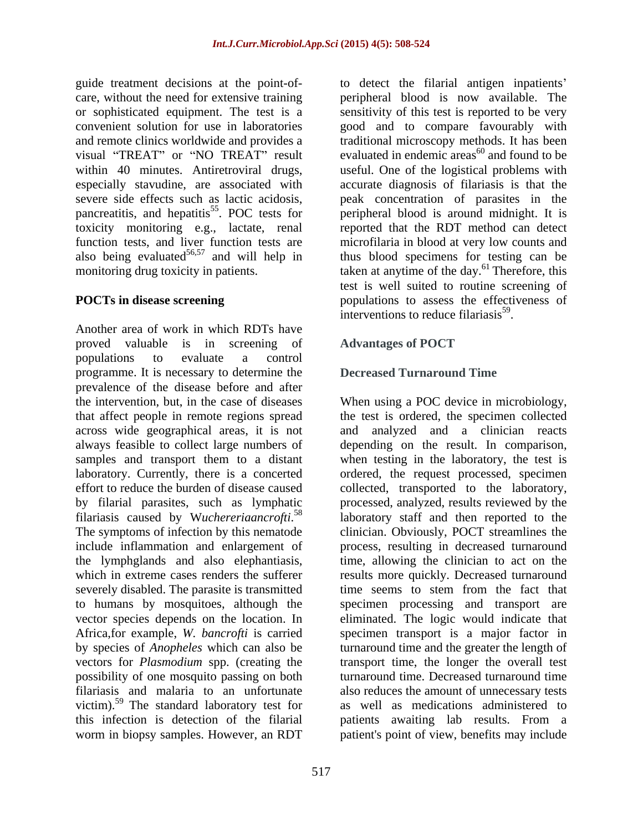guide treatment decisions at the point-of- to detect the filarial antigen inpatients care, without the need for extensive training peripheral blood is now available. The or sophisticated equipment. The test is a sensitivity of this test is reported to be very convenient solution for use in laboratories good and to compare favourably with and remote clinics worldwide and provides a traditional microscopy methods. It has been visual "TREAT" or "NO TREAT" result evaluated in endemic areas<sup>60</sup> and found to be within 40 minutes. Antiretroviral drugs, useful. One of the logistical problems with especially stavudine, are associated with accurate diagnosis of filariasis is that the severe side effects such as lactic acidosis, peak concentration of parasites in the pancreatitis, and hepatitis<sup>55</sup>. POC tests for toxicity monitoring e.g., lactate, renal function tests, and liver function tests are microfilaria in blood at very low counts and also being evaluated<sup>56,57</sup> and will help in thus blood specimens for testing can be monitoring drug toxicity in patients. taken at anytime of the day.<sup>61</sup> Therefore, this

Another area of work in which RDTs have proved valuable is in screening of Advantages of POCT populations to evaluate a control programme. It is necessary to determine the prevalence of the disease before and after the intervention, but, in the case of diseases When using a POC device in microbiology, that affect people in remote regions spread the test is ordered, the specimen collected across wide geographical areas, it is not always feasible to collect large numbers of samples and transport them to a distant when testing in the laboratory, the test is laboratory. Currently, there is a concerted ordered, the request processed, specimen effort to reduce the burden of disease caused collected, transported to the laboratory, by filarial parasites, such as lymphatic processed, analyzed, results reviewed by the filariasis caused by W*uchereriaancrofti*.<sup>58</sup> The symptoms of infection by this nematode clinician. Obviously, POCT streamlines the include inflammation and enlargement of process, resulting in decreased turnaround the lymphglands and also elephantiasis, time, allowing the clinician to act on the which in extreme cases renders the sufferer results more quickly. Decreased turnaround severely disabled. The parasite is transmitted time seems to stem from the fact that to humans by mosquitoes, although the specimen processing and transport are vector species depends on the location. In eliminated. The logic would indicate that Africa,for example, *W. bancrofti* is carried specimen transport is a major factor in by species of *Anopheles* which can also be turnaround time and the greater the length of vectors for *Plasmodium* spp. (creating the transport time, the longer the overall test possibility of one mosquito passing on both turnaround time. Decreased turnaround time filariasis and malaria to an unfortunate also reduces the amount of unnecessary tests victim).<sup>59</sup> The standard laboratory test for this infection is detection of the filarial patients awaiting lab results. From a

. POC tests for peripheral blood is around midnight. It is **POCTs in disease screening** populations to assess the effectiveness of reported that the RDT method can detect test is well suited to routine screening of interventions to reduce filariasis $^{59}$ . .

## **Advantages of POCT**

## **Decreased Turnaround Time**

worm in biopsy samples. However, an RDT patient's point of view, benefits may includeand analyzed and a clinician reacts depending on the result. In comparison, laboratory staff and then reported to the as well as medications administered to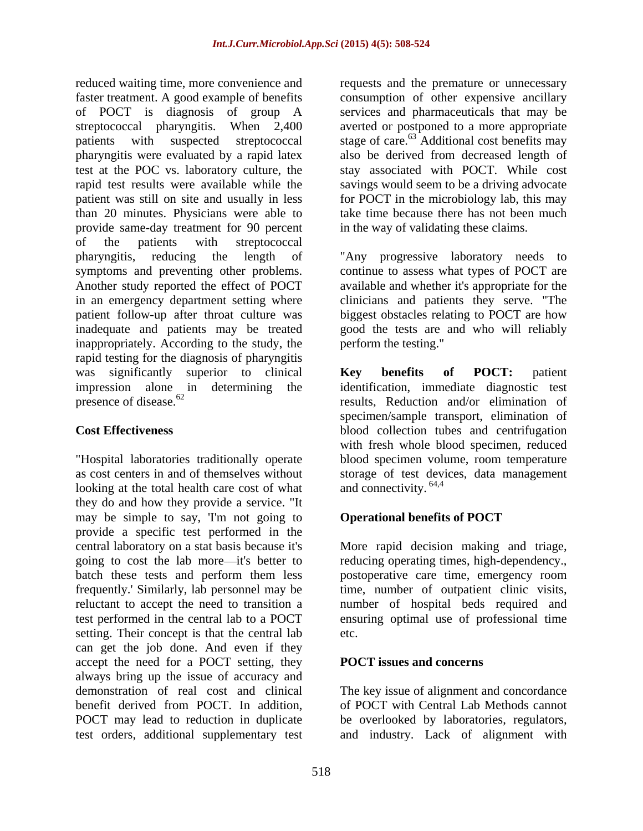reduced waiting time, more convenience and requests and the premature or unnecessary faster treatment. A good example of benefits consumption of other expensive ancillary of POCT is diagnosis of group A services and pharmaceuticals that may be streptococcal pharyngitis. When 2,400 averted or postponed to a more appropriate patients with suspected streptococcal stage of care.<sup>63</sup> Additional cost benefits may pharyngitis were evaluated by a rapid latex test at the POC vs. laboratory culture, the stay associated with POCT. While cost rapid test results were available while the savings would seem to be a driving advocate patient was still on site and usually in less for POCT in the microbiology lab, this may than 20 minutes. Physicians were able to provide same-day treatment for 90 percent in the way of validating these claims. of the patients with streptococcal pharyngitis, reducing the length of "Any progressive laboratory needs to symptoms and preventing other problems. Another study reported the effect of POCT in an emergency department setting where clinicians and patients they serve. "The patient follow-up after throat culture was biggest obstacles relating to POCT are how inadequate and patients may be treated good the tests are and who will reliably inappropriately. According to the study, the perform the testing." rapid testing for the diagnosis of pharyngitis was significantly superior to clinical **Key benefits of POCT:** patient impression alone in determining the identification, immediate diagnostic test

"Hospital laboratories traditionally operate looking at the total health care cost of what and connectivity. <sup>64,4</sup> they do and how they provide a service. "It may be simple to say, 'I'm not going to **Operational benefits of POCT** provide a specific test performed in the central laboratory on a stat basis because it's More rapid decision making and triage, going to cost the lab more—it's better to reducing operating times, high-dependency., batch these tests and perform them less postoperative care time, emergency room frequently.' Similarly, lab personnel may be time, number of outpatient clinic visits, reluctant to accept the need to transition a number of hospital beds required and test performed in the central lab to a POCT ensuring optimal use of professional time setting. Their concept is that the central lab etc. can get the job done. And even if they accept the need for a POCT setting, they always bring up the issue of accuracy and demonstration of real cost and clinical The key issue of alignment and concordance benefit derived from POCT. In addition, of POCT with Central Lab Methods cannot POCT may lead to reduction in duplicate be overlooked by laboratories, regulators, test orders, additional supplementary test and industry. Lack of alignment with

also be derived from decreased length of take time because there has not been much

in the way of validating these claims. "Any progressive laboratory needs to continue to assess what types of POCT are available and whether it's appropriate for the perform the testing."

presence of disease.<sup>62</sup> results, Reduction and/or elimination of **Cost Effectiveness** blood collection tubes and centrifugation as cost centers in and of themselves without storage of test devices, data management **Key benefits of POCT:** patient specimen/sample transport, elimination of with fresh whole blood specimen, reduced blood specimen volume, room temperature and connectivity. <sup>64,4</sup>

## **Operational benefits of POCT**

etc.

### **POCT issues and concerns**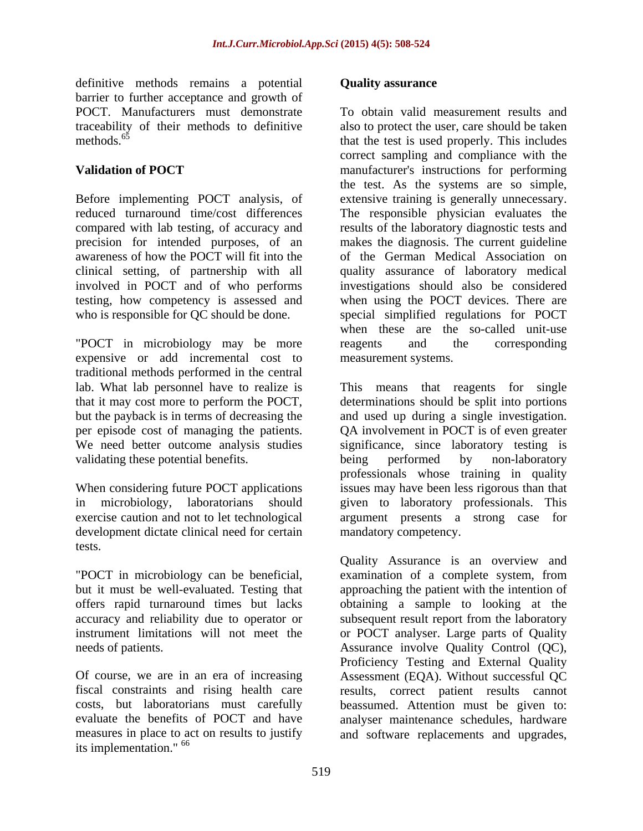definitive methods remains a potential **Quality assurance** barrier to further acceptance and growth of

Before implementing POCT analysis, of precision for intended purposes, of an

"POCT in microbiology may be more reagents and the corresponding expensive or add incremental cost to traditional methods performed in the central lab. What lab personnel have to realize is validating these potential benefits. being performed by non-laboratory

development dictate clinical need for certain

measures in place to act on results to justify and software replacements and upgrades,its implementation."  $^{66}$ 

### **Quality assurance**

POCT. Manufacturers must demonstrate To obtain valid measurement results and traceability of their methods to definitive also to protect the user, care should be taken methods.<sup>65</sup> that the test is used properly. This includes **Validation of POCT** manufacturer's instructions for performing reduced turnaround time/cost differences The responsible physician evaluates the compared with lab testing, of accuracy and results of the laboratory diagnostic tests and awareness of how the POCT will fit into the of the German Medical Association on clinical setting, of partnership with all quality assurance of laboratory medical involved in POCT and of who performs investigations should also be considered testing, how competency is assessed and when using the POCT devices. There are who is responsible for QC should be done. Special simplified regulations for POCT correct sampling and compliance with the the test. As the systems are so simple, extensive training is generally unnecessary. makes the diagnosis. The current guideline when these are the so-called unit-use reagents and the corresponding measurement systems.

that it may cost more to perform the POCT, determinations should be split into portions but the payback is in terms of decreasing the and used up during a single investigation. per episode cost of managing the patients. QA involvement in POCT is of even greater<br>We need better outcome analysis studies significance, since laboratory testing is When considering future POCT applications issues may have been less rigorous than that in microbiology, laboratorians should given to laboratory professionals. This exercise caution and not to let technological argument presents a strong case for This means that reagents for single QA involvement in POCT is of even greater significance, since laboratory testing is being performed by non-laboratory professionals whose training in quality mandatory competency.

tests.<br>
Quality Assurance is an overview and<br>
"POCT in microbiology can be beneficial, examination of a complete system, from but it must be well-evaluated. Testing that approaching the patient with the intention of offers rapid turnaround times but lacks obtaining a sample to looking at the accuracy and reliability due to operator or subsequent result report from the laboratory instrument limitations will not meet the or POCT analyser. Large parts of Quality needs of patients. Assurance involve Quality Control (QC), Of course, we are in an era of increasing Assessment (EQA). Without successful QC fiscal constraints and rising health care results, correct patient results cannot costs, but laboratorians must carefully beassumed. Attention must be given to: evaluate the benefits of POCT and have analyser maintenance schedules, hardware Quality Assurance is an overview and examination of a complete system, from Proficiency Testing and External Quality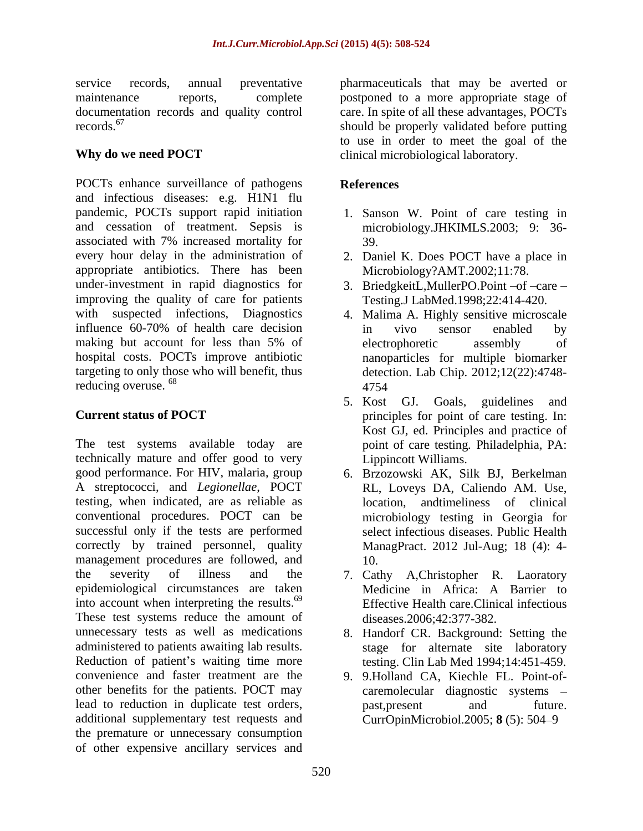### **Why do we need POCT**

POCTs enhance surveillance of pathogens and infectious diseases: e.g. H1N1 flu pandemic, POCTs support rapid initiation 1. Sanson W. Point of care testing in and cessation of treatment. Sepsis is associated with 7% increased mortality for every hour delay in the administration of 2. Daniel K. Does POCT have a place in appropriate antibiotics. There has been under-investment in rapid diagnostics for 3. BriedgkeitL, MullerPO. Point -of -care improving the quality of care for patients with suspected infections, Diagnostics 4. Malima A. Highly sensitive microscale influence 60-70% of health care decision making but account for less than 5% of electrophoretic assembly of hospital costs. POCTs improve antibiotic targeting to only those who will benefit, thus detection. Lab Chip. 2012;12(22):4748 reducing overuse.  $^{68}$  and  $4754$  and  $4754$  and  $4754$  and  $4754$  and  $4754$  and  $4754$  and  $4754$  and  $4754$  and  $4754$  and  $4754$  and  $4754$  and  $4754$  and  $4754$  and  $4754$  and  $4754$  and  $4754$  and  $4754$  and  $4754$ 

The test systems available today are technically mature and offer good to very good performance. For HIV, malaria, group 6. Brzozowski AK, Silk BJ, Berkelman A streptococci, and *Legionellae*, POCT testing, when indicated, are as reliable as conventional procedures. POCT can be microbiology testing in Georgia for successful only if the tests are performed correctly by trained personnel, quality management procedures are followed, and  $10$ . the severity of illness and the 7. Cathy A,Christopher R. Laoratory epidemiological circumstances are taken into account when interpreting the results.<sup>69</sup> These test systems reduce the amount of unnecessary tests as well as medications 8. Handorf CR. Background: Setting the administered to patients awaiting lab results. Reduction of patient's waiting time more testing. Clin Lab Med 1994;14:451-459. convenience and faster treatment are the 9. 9.Holland CA, Kiechle FL. Point-of other benefits for the patients. POCT may lead to reduction in duplicate test orders, past, present and future. additional supplementary test requests and the premature or unnecessary consumption of other expensive ancillary services and

service records, annual preventative pharmaceuticals that may be averted or maintenance reports, complete postponed to a more appropriate stage of documentation records and quality control care. In spite of all these advantages, POCTs records.<sup>67</sup> should be properly validated before putting to use in order to meet the goal of the clinical microbiological laboratory.

### **References**

- microbiology.JHKIMLS.2003; 9: 36- 39.
- Microbiology?AMT.2002;11:78.
- Testing.J LabMed.1998;22:414-420.
- in vivo sensor enabled by electrophoretic assembly of nanoparticles for multiple biomarker 4754
- **Current status of POCT** principles for point of care testing. In: 5. Kost GJ. Goals, guidelines and Kost GJ, ed. Principles and practice of point of care testing*.* Philadelphia, PA: Lippincott Williams.
	- RL, Loveys DA, Caliendo AM. Use, location, andtimeliness of clinical select infectious diseases. Public Health ManagPract. 2012 Jul-Aug; 18 (4): 4- 10.
	- Medicine in Africa: A Barrier to Effective Health care.Clinical infectious diseases.2006;42:377-382.
	- stage for alternate site laboratory
	- caremolecular diagnostic systems past,present and future. CurrOpinMicrobiol.2005; **8** (5): 504 9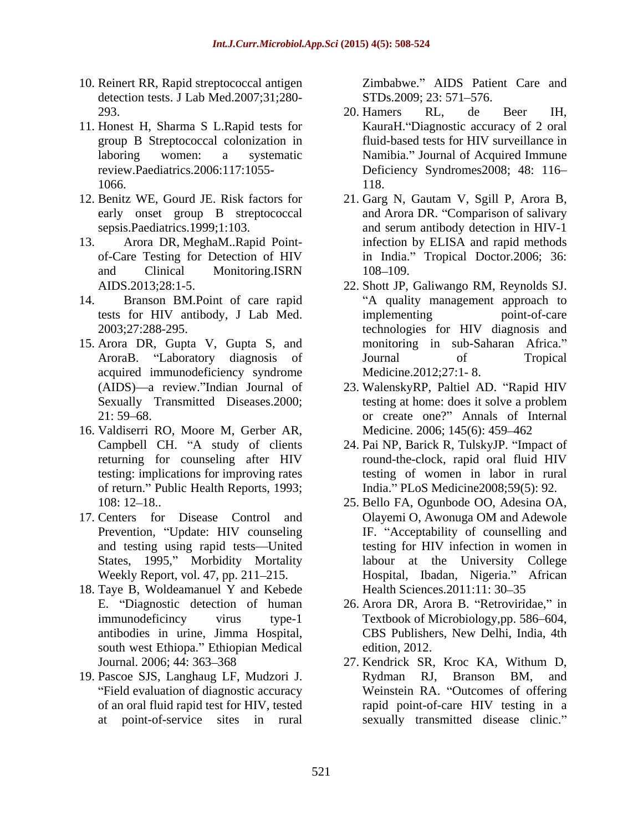- 10. Reinert RR, Rapid streptococcal antigen detection tests. J Lab Med.2007;31;280-<br>STDs.2009; 23: 571–576.
- 11. Honest H, Sharma S L.Rapid tests for
- 
- 
- 14. Branson BM.Point of care rapid
- 15. Arora DR, Gupta V, Gupta S, and acquired immunodeficiency syndrome
- 16. Valdiserri RO, Moore M, Gerber AR, of return." Public Health Reports, 1993;
- 17. Centers for Disease Control and Prevention, "Update: HIV counseling
- 18. Taye B, Woldeamanuel Y and Kebede south west Ethiopa." Ethiopian Medical edition, 2012.
- Field evaluation of diagnostic accuracy

Zimbabwe." AIDS Patient Care and STDs.2009; 23: 571–576.

- 293. 20. Hamers RL, de Beer IH, group B Streptococcal colonization in fluid-based tests for HIV surveillance in laboring women: a systematic Mamibia." Journal of Acquired Immune review.Paediatrics.2006:117:1055- Deficiency Syndromes2008; 48: 116 1066. 118. 20. Hamers RL, de Beer IH, KauraH. "Diagnostic accuracy of 2 oral 118.
- 12. Benitz WE, Gourd JE. Risk factors for 21. Garg N, Gautam V, Sgill P, Arora B, early onset group B streptococcal and Arora DR. "Comparison of salivary sepsis.Paediatrics.1999;1:103. and serum antibody detection in HIV-1 13. Arora DR, MeghaM..Rapid Point- infection by ELISA and rapid methods of-Care Testing for Detection of HIV in India. Tropical Doctor.2006; 36: and Clinical Monitoring.ISRN 108-109.
	- AIDS.2013;28:1-5. 22. Shott JP, Galiwango RM, Reynolds SJ. tests for HIV antibody, J Lab Med. 2003;27:288-295. technologies for HIV diagnosis and AroraB. "Laboratory diagnosis of 5 Journal of Tropical A quality management approach to implementing point-of-care monitoring in sub-Saharan Africa. Journal of Tropical Medicine.2012;27:1- 8.
	- (AIDS)—a review."Indian Journal of 23. WalenskyRP, Paltiel AD. "Rapid HIV Sexually Transmitted Diseases. 2000; testing at home: does it solve a problem 21: 59 68. or create one? Annals of Internal testing at home: does it solve a problem Medicine. 2006; 145(6): 459-462
	- Campbell CH. "A study of clients 24. Pai NP, Barick R, TulskyJP. "Impact of returning for counseling after HIV round-the-clock, rapid oral fluid HIV testing: implications for improving rates testing of women in labor in rural round-the-clock, rapid oral fluid HIV India. PLoS Medicine2008;59(5): 92.
	- 108: 12 18.. 25. Bello FA, Ogunbode OO, Adesina OA, and testing using rapid tests—United testing for HIV infection in women in States, 1995," Morbidity Mortality alabour at the University College Weekly Report, vol. 47, pp. 211–215. **Hospital, Ibadan, Nigeria.** "African Olayemi O, Awonuga OM and Adewole IF. "Acceptability of counselling and Health Sciences. 2011:11: 30–35
	- E. "Diagnostic detection of human 26. Arora DR, Arora B. "Retroviridae," in immunodeficincy virus type-1 Textbook of Microbiology,pp. 586 604, antibodies in urine, Jimma Hospital, CBS Publishers, New Delhi, India, 4th edition, 2012.
- Journal. 2006; 44: 363–368 27. Kendrick SR, Kroc KA, Withum D. 19. Pascoe SJS, Langhaug LF, Mudzori J. of an oral fluid rapid test for HIV, tested at point-of-service sites in rural sexually transmitted disease clinic.27. Kendrick SR, Kroc KA, Withum D, Rydman RJ, Branson BM, and Weinstein RA. "Outcomes of offering rapid point-of-care HIV testing in a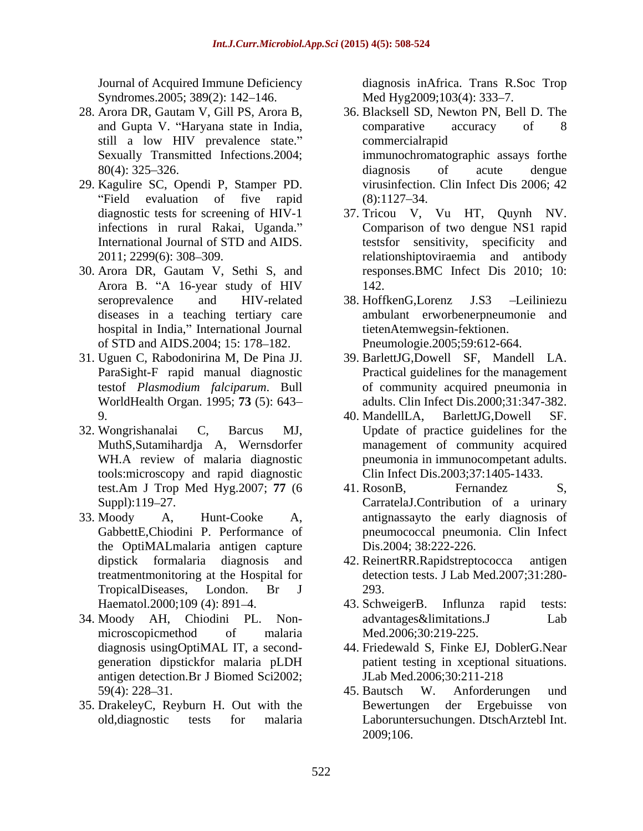Syndromes.2005; 389(2): 142-146.

- still a low HIV prevalence state."
- 29. Kagulire SC, Opendi P, Stamper PD.
- 30. Arora DR, Gautam V, Sethi S, and hospital in India," International Journal of STD and AIDS.2004; 15: 178-182.
- WorldHealth Organ. 1995; **73** (5): 643
- 32. Wongrishanalai C, Barcus MJ, Update of practice guidelines for the tools:microscopy and rapid diagnostic
- the OptiMALmalaria antigen capture
- 34. Moody AH, Chiodini PL. Non antigen detection.Br J Biomed Sci2002;
- 

Journal of Acquired Immune Deficiency diagnosis inAfrica. Trans R.Soc Trop Med Hyg2009;103(4): 333–7.

- 28. Arora DR, Gautam V, Gill PS, Arora B, 36. Blacksell SD, Newton PN, Bell D. The and Gupta V. Haryana state in India, Sexually Transmitted Infections.2004; immunochromatographic assays forthe 80(4): 325–326. diagnosis of acute dengue Field evaluation of five rapid  $(8)$ :1127–34. comparative accuracy of 8 commercialrapid diagnosis of acute dengue virusinfection. Clin Infect Dis 2006; 42  $(8):1127-34.$ 
	- diagnostic tests for screening of HIV-1 37. Tricou V, Vu HT, Quynh NV. infections in rural Rakai, Uganda." Comparison of two dengue NS1 rapid International Journal of STD and AIDS. testsfor sensitivity, specificity and 2011; 2299(6): 308 309. relationshiptoviraemia and antibody Arora B. "A 16-year study of HIV 142. responses.BMC Infect Dis 2010; 10: 142.
	- seroprevalence and HIV-related 38. HoffkenG,Lorenz J.S3 -Leiliniezu diseases in a teaching tertiary care ambulant erworbenerpneumonie and 38. HoffkenG,Lorenz J.S3 Leiliniezu tietenAtemwegsin-fektionen. Pneumologie.2005;59:612-664.
- 31. Uguen C, Rabodonirina M, De Pina JJ. 39. BarlettJG,Dowell SF, Mandell LA. ParaSight-F rapid manual diagnostic Practical guidelines for the management testof *Plasmodium falciparum*. Bull of community acquired pneumonia in adults. Clin Infect Dis.2000;31:347-382.
	- 9. 40. MandellLA, BarlettJG,Dowell SF. MuthS,Sutamihardja A, Wernsdorfer management of community acquired WH.A review of malaria diagnostic pneumonia in immunocompetant adults. Clin Infect Dis.2003;37:1405-1433.
- test.Am J Trop Med Hyg.2007; **77** (6 Suppl):119–27. CarratelaJ.Contribution of a urinary 33. Moody A, Hunt-Cooke A, antignassayto the early diagnosis of GabbettE,Chiodini P. Performance of pneumococcal pneumonia. Clin Infect 41. RosonB, Fernandez S, Dis.2004; 38:222-226.
	- dipstick formalaria diagnosis and 42. ReinertRR.Rapidstreptococca antigen treatmentmonitoring at the Hospital for detection tests. J Lab Med.2007;31:280- TropicalDiseases, London. Br J 293.
	- Haematol.2000;109 (4): 891–4. 43. Schweiger B. Influnza rapid tests: microscopicmethod of malaria Med.2006;30:219-225. 43. SchweigerB. Influnza rapid tests: advantages&limitations.J Lab Med.2006;30:219-225.
	- diagnosis usingOptiMAL IT, a second- 44. Friedewald S, Finke EJ, DoblerG.Near generation dipstickfor malaria pLDH patient testing in xceptional situations. JLab Med.2006;30:211-218
- 59(4): 228–31. (45. Bautsch W. Anforderungen und 35. DrakeleyC, Reyburn H. Out with the old,diagnostic tests for malaria Laboruntersuchungen. DtschArztebl Int. 45. Bautsch W. Anforderungen und Bewertungen der Ergebuisse von 2009;106.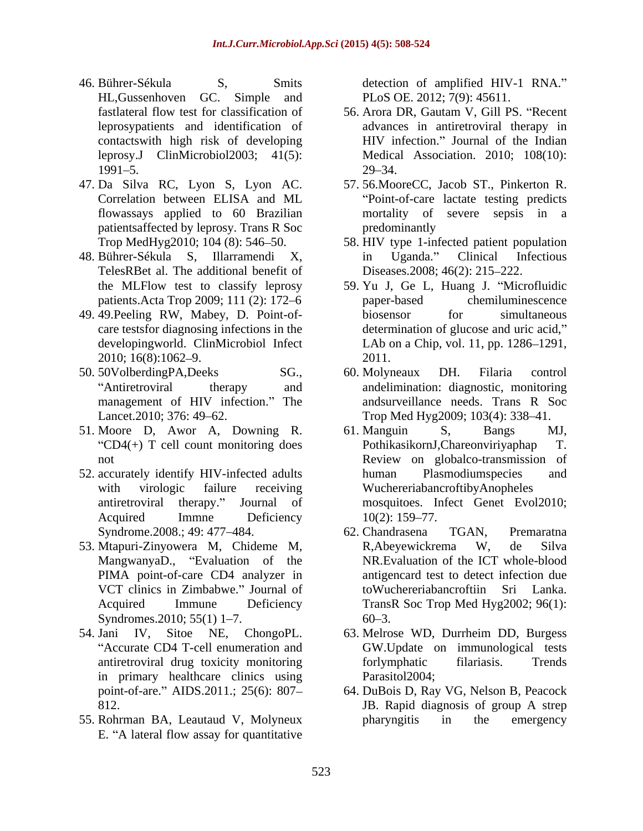- 46. Bührer-Sékula S, Smits detection of amplified HIV-1 RNA. HL,Gussenhoven GC. Simple and PLoS OE. 2012; 7(9): 45611. contactswith high risk of developing
- patientsaffected by leprosy. Trans R Soc
- TelesRBet al. The additional benefit of
- 49. 49.Peeling RW, Mabey, D. Point-of-
- 50. 50VolberdingPA,Deeks SG., 60. Molyneaux DH. Filaria control
- 51. Moore D, Awor A, Downing R.
- 52. accurately identify HIV-infected adults human Plasmodiumspecies and
- 53. Mtapuri-Zinyowera M, Chideme M, MangwanyaD., "Evaluation of the Syndromes.  $2010$ ;  $55(1)$  1–7. 60–3.
- in primary healthcare clinics using Parasitol2004;
- 55. Rohrman BA, Leautaud V, Molyneux E. "A lateral flow assay for quantitative

- fastlateral flow test for classification of 56. Arora DR, Gautam V, Gill PS. "Recent leprosypatients and identification of advances in antiretroviral therapy in leprosy.J ClinMicrobiol2003; 41(5): Medical Association. 2010; 108(10):  $1991 - 5.$  29 - 34. HIV infection." Journal of the Indian  $29 - 34.$
- 47. Da Silva RC, Lyon S, Lyon AC. 57. 56.MooreCC, Jacob ST., Pinkerton R. Correlation between ELISA and ML flowassays applied to 60 Brazilian mortality of severe sepsis in a Point-of-care lactate testing predicts predominantly
- Trop MedHyg2010; 104 (8): 546 50. 58. HIV type 1-infected patient population 48. Bührer-Sékula S, Illarramendi X, in Uganda." Clinical Infectious Diseases.2008; 46(2): 215–222.
	- the MLFlow test to classify leprosy 59. Yu J, Ge L, Huang J. "Microfluidic patients.Acta Trop 2009; 111 (2): 172–6 paper-based chemiluminescence care testsfor diagnosing infections in the determination of glucose and uric acid, developingworld. ClinMicrobiol Infect LAb on a Chip, vol. 11, pp. 1286–1291, 2010; 16(8):1062–9. 2011. paper-based chemiluminescence biosensor for simultaneous 2011.
	- Antiretroviral therapy and andelimination: diagnostic, monitoring management of HIV infection." The andsurveillance needs. Trans R Soc Lancet.2010; 376: 49–62. Trop Med Hyg2009; 103(4): 338–41. 60. Molyneaux DH. Filaria control andsurveillance needs. Trans R Soc
	- " $CD4$ (+) T cell count monitoring does PothikasikornJ, Chareonviriyaphap T. not Review on globalco-transmission of with virologic failure receiving WuchereriabancroftibyAnopheles antiretroviral therapy." Journal of mosquitoes. Infect Genet Evol2010; Acquired Immne Deficiency 10(2): 159–77. 61. Manguin S, Bangs MJ, PothikasikornJ, Chareonviriyaphap human Plasmodiumspecies and  $10(2)$ : 159–77.
	- Syndrome.2008.; 49: 477–484. 62. Chandrasena TGAN, Premaratna PIMA point-of-care CD4 analyzer in antigencard test to detect infection due VCT clinics in Zimbabwe." Journal of toWuchereriabancroftiin Sri Lanka. Acquired Immune Deficiency TransR Soc Trop Med Hyg2002; 96(1): 62. Chandrasena TGAN, Premaratna R,Abeyewickrema W, de Silva NR.Evaluation of the ICT whole-blood  $60 - 3$ .
- 54. Jani IV, Sitoe NE, ChongoPL. 63. Melrose WD, Durrheim DD, Burgess Accurate CD4 T-cell enumeration and GW.Update on immunological tests antiretroviral drug toxicity monitoring forlymphatic filariasis. Trends Parasitol2004;
	- point-of-are. AIDS.2011.; 25(6): 807 64. DuBois D, Ray VG, Nelson B, Peacock 812. **IB.** Rapid diagnosis of group A strep JB. Rapid diagnosis of group A strep pharyngitis in the emergency